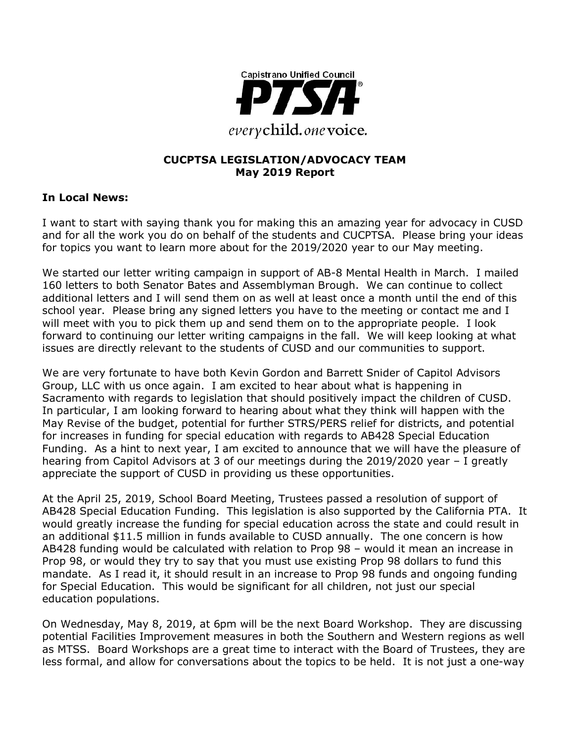

#### **CUCPTSA LEGISLATION/ADVOCACY TEAM May 2019 Report**

#### **In Local News:**

I want to start with saying thank you for making this an amazing year for advocacy in CUSD and for all the work you do on behalf of the students and CUCPTSA. Please bring your ideas for topics you want to learn more about for the 2019/2020 year to our May meeting.

We started our letter writing campaign in support of AB-8 Mental Health in March. I mailed 160 letters to both Senator Bates and Assemblyman Brough. We can continue to collect additional letters and I will send them on as well at least once a month until the end of this school year. Please bring any signed letters you have to the meeting or contact me and I will meet with you to pick them up and send them on to the appropriate people. I look forward to continuing our letter writing campaigns in the fall. We will keep looking at what issues are directly relevant to the students of CUSD and our communities to support.

We are very fortunate to have both Kevin Gordon and Barrett Snider of Capitol Advisors Group, LLC with us once again. I am excited to hear about what is happening in Sacramento with regards to legislation that should positively impact the children of CUSD. In particular, I am looking forward to hearing about what they think will happen with the May Revise of the budget, potential for further STRS/PERS relief for districts, and potential for increases in funding for special education with regards to AB428 Special Education Funding. As a hint to next year, I am excited to announce that we will have the pleasure of hearing from Capitol Advisors at 3 of our meetings during the 2019/2020 year – I greatly appreciate the support of CUSD in providing us these opportunities.

At the April 25, 2019, School Board Meeting, Trustees passed a resolution of support of AB428 Special Education Funding. This legislation is also supported by the California PTA. It would greatly increase the funding for special education across the state and could result in an additional \$11.5 million in funds available to CUSD annually. The one concern is how AB428 funding would be calculated with relation to Prop 98 – would it mean an increase in Prop 98, or would they try to say that you must use existing Prop 98 dollars to fund this mandate. As I read it, it should result in an increase to Prop 98 funds and ongoing funding for Special Education. This would be significant for all children, not just our special education populations.

On Wednesday, May 8, 2019, at 6pm will be the next Board Workshop. They are discussing potential Facilities Improvement measures in both the Southern and Western regions as well as MTSS. Board Workshops are a great time to interact with the Board of Trustees, they are less formal, and allow for conversations about the topics to be held. It is not just a one-way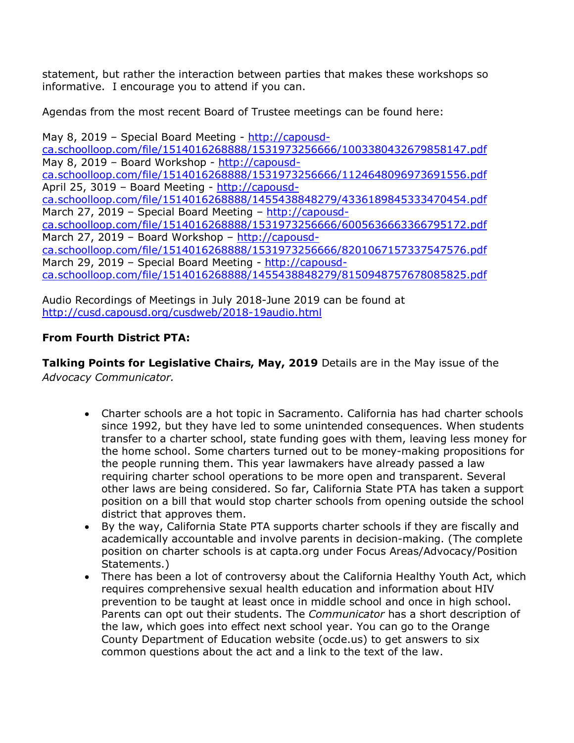statement, but rather the interaction between parties that makes these workshops so informative. I encourage you to attend if you can.

Agendas from the most recent Board of Trustee meetings can be found here:

May 8, 2019 – Special Board Meeting - http://capousdca.schoolloop.com/file/1514016268888/1531973256666/1003380432679858147.pdf May 8, 2019 – Board Workshop - http://capousdca.schoolloop.com/file/1514016268888/1531973256666/1124648096973691556.pdf April 25, 3019 – Board Meeting - http://capousdca.schoolloop.com/file/1514016268888/1455438848279/4336189845333470454.pdf March 27, 2019 – Special Board Meeting – http://capousdca.schoolloop.com/file/1514016268888/1531973256666/6005636663366795172.pdf March 27, 2019 – Board Workshop – http://capousdca.schoolloop.com/file/1514016268888/1531973256666/8201067157337547576.pdf March 29, 2019 - Special Board Meeting - http://capousdca.schoolloop.com/file/1514016268888/1455438848279/8150948757678085825.pdf

Audio Recordings of Meetings in July 2018-June 2019 can be found at http://cusd.capousd.org/cusdweb/2018-19audio.html

## **From Fourth District PTA:**

**Talking Points for Legislative Chairs, May, 2019** Details are in the May issue of the *Advocacy Communicator.*

- Charter schools are a hot topic in Sacramento. California has had charter schools since 1992, but they have led to some unintended consequences. When students transfer to a charter school, state funding goes with them, leaving less money for the home school. Some charters turned out to be money-making propositions for the people running them. This year lawmakers have already passed a law requiring charter school operations to be more open and transparent. Several other laws are being considered. So far, California State PTA has taken a support position on a bill that would stop charter schools from opening outside the school district that approves them.
- By the way, California State PTA supports charter schools if they are fiscally and academically accountable and involve parents in decision-making. (The complete position on charter schools is at capta.org under Focus Areas/Advocacy/Position Statements.)
- There has been a lot of controversy about the California Healthy Youth Act, which requires comprehensive sexual health education and information about HIV prevention to be taught at least once in middle school and once in high school. Parents can opt out their students. The *Communicator* has a short description of the law, which goes into effect next school year. You can go to the Orange County Department of Education website (ocde.us) to get answers to six common questions about the act and a link to the text of the law.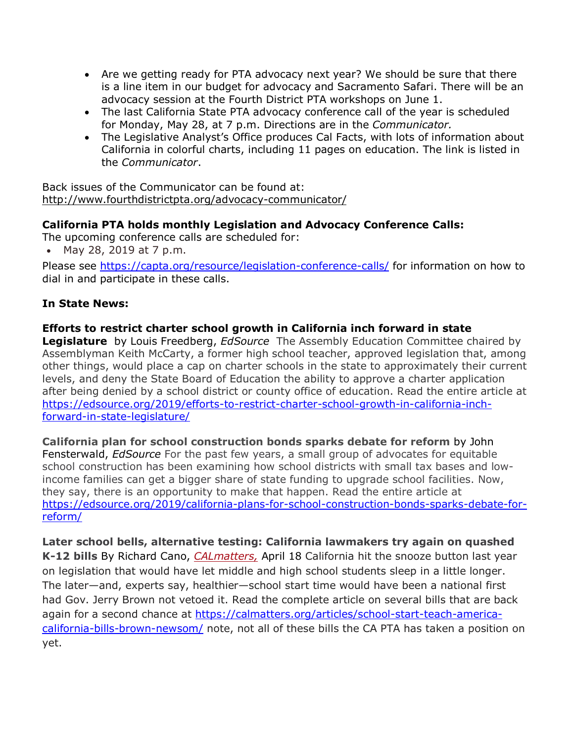- Are we getting ready for PTA advocacy next year? We should be sure that there is a line item in our budget for advocacy and Sacramento Safari. There will be an advocacy session at the Fourth District PTA workshops on June 1.
- The last California State PTA advocacy conference call of the year is scheduled for Monday, May 28, at 7 p.m. Directions are in the *Communicator.*
- The Legislative Analyst's Office produces Cal Facts, with lots of information about California in colorful charts, including 11 pages on education. The link is listed in the *Communicator*.

Back issues of the Communicator can be found at: http://www.fourthdistrictpta.org/advocacy-communicator/

## **California PTA holds monthly Legislation and Advocacy Conference Calls:**

The upcoming conference calls are scheduled for:

• May 28, 2019 at 7 p.m.

Please see https://capta.org/resource/legislation-conference-calls/ for information on how to dial in and participate in these calls.

## **In State News:**

## **Efforts to restrict charter school growth in California inch forward in state**

**Legislature** by Louis Freedberg, *EdSource* The Assembly Education Committee chaired by Assemblyman Keith McCarty, a former high school teacher, approved legislation that, among other things, would place a cap on charter schools in the state to approximately their current levels, and deny the State Board of Education the ability to approve a charter application after being denied by a school district or county office of education. Read the entire article at https://edsource.org/2019/efforts-to-restrict-charter-school-growth-in-california-inchforward-in-state-legislature/

**California plan for school construction bonds sparks debate for reform** by John Fensterwald, *EdSource* For the past few years, a small group of advocates for equitable school construction has been examining how school districts with small tax bases and lowincome families can get a bigger share of state funding to upgrade school facilities. Now, they say, there is an opportunity to make that happen. Read the entire article at https://edsource.org/2019/california-plans-for-school-construction-bonds-sparks-debate-forreform/

**Later school bells, alternative testing: California lawmakers try again on quashed K-12 bills** By Richard Cano, *CALmatters,* April 18 California hit the snooze button last year on legislation that would have let middle and high school students sleep in a little longer. The later—and, experts say, healthier—school start time would have been a national first had Gov. Jerry Brown not vetoed it. Read the complete article on several bills that are back again for a second chance at https://calmatters.org/articles/school-start-teach-americacalifornia-bills-brown-newsom/ note, not all of these bills the CA PTA has taken a position on yet.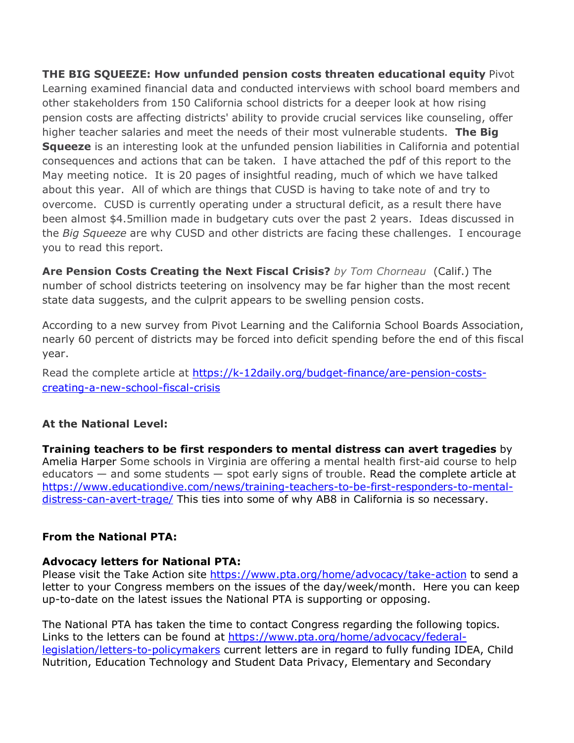**THE BIG SQUEEZE: How unfunded pension costs threaten educational equity** Pivot Learning examined financial data and conducted interviews with school board members and other stakeholders from 150 California school districts for a deeper look at how rising pension costs are affecting districts' ability to provide crucial services like counseling, offer higher teacher salaries and meet the needs of their most vulnerable students. **The Big Squeeze** is an interesting look at the unfunded pension liabilities in California and potential consequences and actions that can be taken. I have attached the pdf of this report to the May meeting notice. It is 20 pages of insightful reading, much of which we have talked about this year. All of which are things that CUSD is having to take note of and try to overcome. CUSD is currently operating under a structural deficit, as a result there have been almost \$4.5million made in budgetary cuts over the past 2 years. Ideas discussed in the *Big Squeeze* are why CUSD and other districts are facing these challenges. I encourage you to read this report.

**Are Pension Costs Creating the Next Fiscal Crisis?** *by Tom Chorneau* (Calif.) The number of school districts teetering on insolvency may be far higher than the most recent state data suggests, and the culprit appears to be swelling pension costs.

According to a new survey from Pivot Learning and the California School Boards Association, nearly 60 percent of districts may be forced into deficit spending before the end of this fiscal year.

Read the complete article at https://k-12daily.org/budget-finance/are-pension-costscreating-a-new-school-fiscal-crisis

## **At the National Level:**

**Training teachers to be first responders to mental distress can avert tragedies** by Amelia Harper Some schools in Virginia are offering a mental health first-aid course to help educators  $-$  and some students  $-$  spot early signs of trouble. Read the complete article at https://www.educationdive.com/news/training-teachers-to-be-first-responders-to-mentaldistress-can-avert-trage/ This ties into some of why AB8 in California is so necessary.

#### **From the National PTA:**

#### **Advocacy letters for National PTA:**

Please visit the Take Action site https://www.pta.org/home/advocacy/take-action to send a letter to your Congress members on the issues of the day/week/month. Here you can keep up-to-date on the latest issues the National PTA is supporting or opposing.

The National PTA has taken the time to contact Congress regarding the following topics. Links to the letters can be found at https://www.pta.org/home/advocacy/federallegislation/letters-to-policymakers current letters are in regard to fully funding IDEA, Child Nutrition, Education Technology and Student Data Privacy, Elementary and Secondary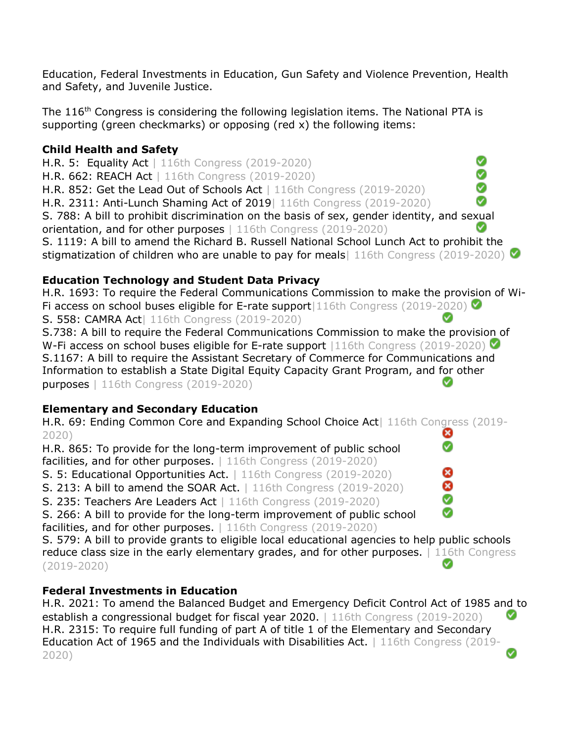Education, Federal Investments in Education, Gun Safety and Violence Prevention, Health and Safety, and Juvenile Justice.

The  $116<sup>th</sup>$  Congress is considering the following legislation items. The National PTA is supporting (green checkmarks) or opposing (red x) the following items:

## **Child Health and Safety**

Ø H.R. 5: Equality Act | 116th Congress (2019-2020) Ø H.R. 662: REACH Act | 116th Congress (2019-2020) Ø H.R. 852: Get the Lead Out of Schools Act | 116th Congress (2019-2020) Ø H.R. 2311: Anti-Lunch Shaming Act of 2019| 116th Congress (2019-2020) S. 788: A bill to prohibit discrimination on the basis of sex, gender identity, and sexual orientation, and for other purposes | 116th Congress (2019-2020) S. 1119: A bill to amend the Richard B. Russell National School Lunch Act to prohibit the stigmatization of children who are unable to pay for meals | 116th Congress (2019-2020)

# **Education Technology and Student Data Privacy**

H.R. 1693: To require the Federal Communications Commission to make the provision of Wi-Fi access on school buses eligible for E-rate support  $|116th$  Congress (2019-2020) S. 558: CAMRA Act| 116th Congress (2019-2020)

S.738: A bill to require the Federal Communications Commission to make the provision of W-Fi access on school buses eligible for E-rate support |116th Congress (2019-2020) S.1167: A bill to require the Assistant Secretary of Commerce for Communications and Information to establish a State Digital Equity Capacity Grant Program, and for other purposes | 116th Congress (2019-2020)

# **Elementary and Secondary Education**

H.R. 69: Ending Common Core and Expanding School Choice Act | 116th Congress (2019-ఴ 2020) Ø

H.R. 865: To provide for the long-term improvement of public school facilities, and for other purposes. | 116th Congress (2019-2020)

S. 5: Educational Opportunities Act. | 116th Congress (2019-2020)

**S. 213: A bill to amend the SOAR Act.**  $\vert$  116th Congress (2019-2020)

S. 235: Teachers Are Leaders Act | 116th Congress (2019-2020)

S. 266: A bill to provide for the long-term improvement of public school facilities, and for other purposes. | 116th Congress (2019-2020)

S. 579: A bill to provide grants to eligible local educational agencies to help public schools reduce class size in the early elementary grades, and for other purposes. | 116th Congress  $\bullet$ (2019-2020)

☺

# **Federal Investments in Education**

H.R. 2021: To amend the Balanced Budget and Emergency Deficit Control Act of 1985 and to establish a congressional budget for fiscal year 2020. | 116th Congress (2019-2020) V H.R. 2315: To require full funding of part A of title 1 of the Elementary and Secondary Education Act of 1965 and the Individuals with Disabilities Act. | 116th Congress (2019-2020)